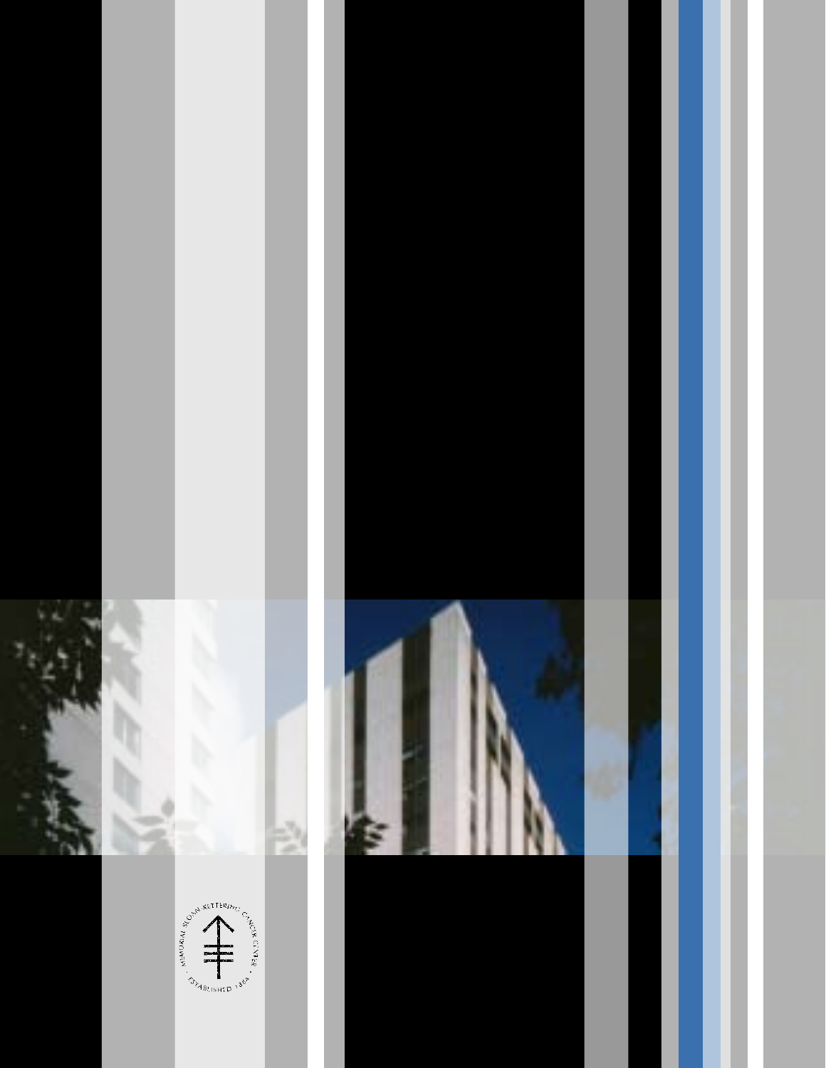



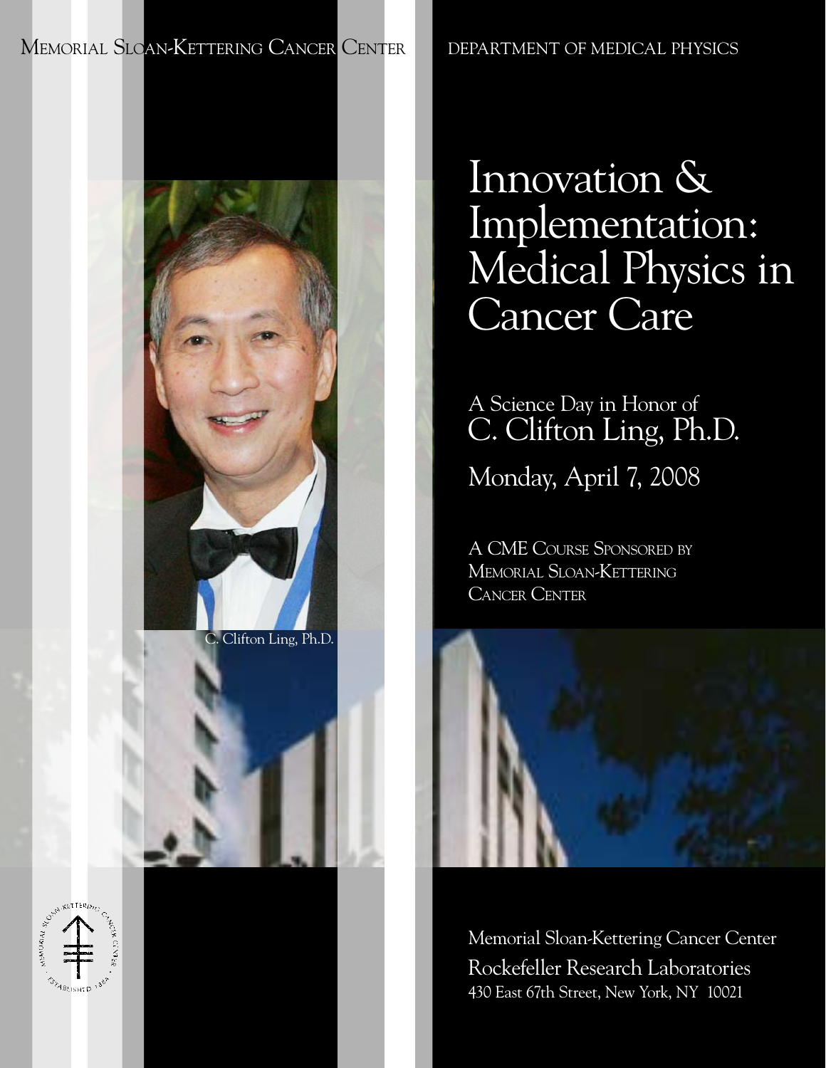MEMORIAL SLOAN-KETTERING CANCER CENTER DEPARTMENT OF MEDICAL PHYSICS

C. Clifton Ling, Ph.D.

# Innovation & Implementation: Medical Physics in Cancer Care

## A Science Day in Honor of C. Clifton Ling, Ph.D.

Monday, April 7, 2008

A CME Course Sponsored by Memorial Sloan-Kettering Cancer Center

Memorial Sloan-Kettering Cancer Center Rockefeller Research Laboratories 430 East 67th Street, New York, NY 10021

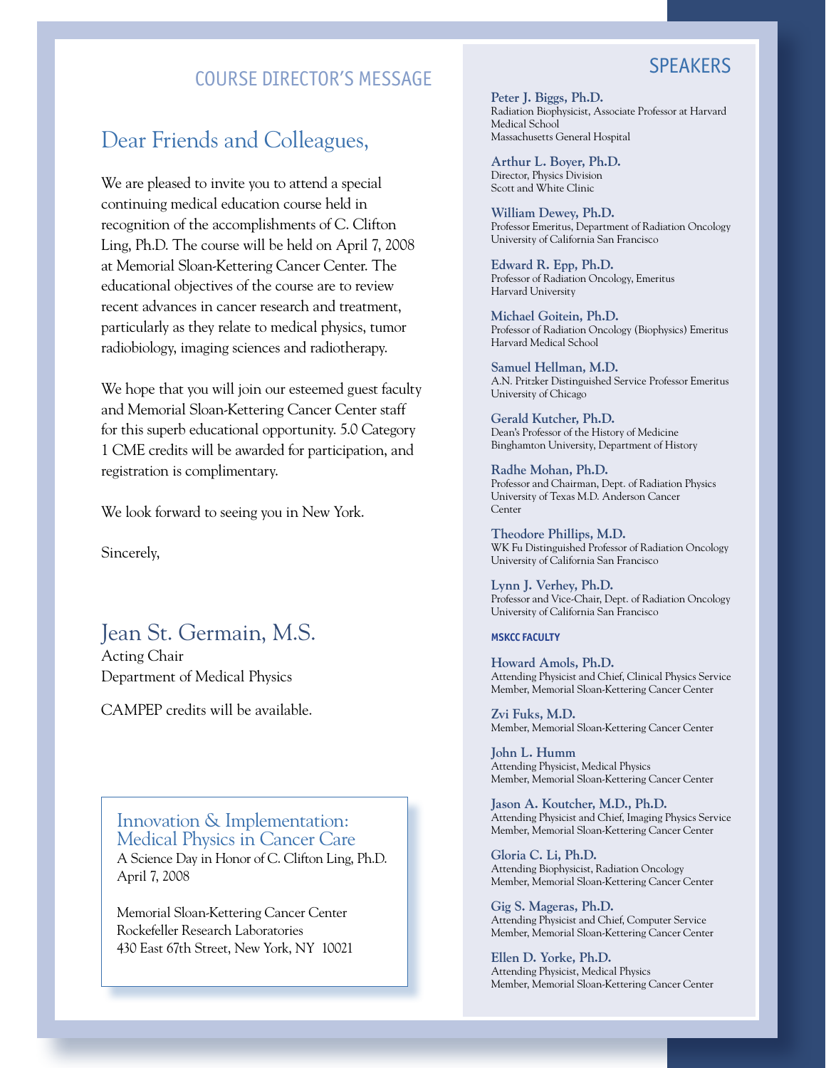## COURSE DIRECTOR'S MESSAGE

## Dear Friends and Colleagues,

We are pleased to invite you to attend a special continuing medical education course held in recognition of the accomplishments of C. Clifton Ling, Ph.D. The course will be held on April 7, 2008 at Memorial Sloan-Kettering Cancer Center. The educational objectives of the course are to review recent advances in cancer research and treatment, particularly as they relate to medical physics, tumor radiobiology, imaging sciences and radiotherapy.

We hope that you will join our esteemed guest faculty and Memorial Sloan-Kettering Cancer Center staff for this superb educational opportunity. 5.0 Category 1 CME credits will be awarded for participation, and registration is complimentary.

We look forward to seeing you in New York.

Sincerely,

## Jean St. Germain, M.S.

Acting Chair Department of Medical Physics

April 7, 2008

CAMPEP credits will be available.

Innovation & Implementation: Medical Physics in Cancer Care A Science Day in Honor of C. Clifton Ling, Ph.D.

Memorial Sloan-Kettering Cancer Center Rockefeller Research Laboratories 430 East 67th Street, New York, NY 10021

#### **Peter J. Biggs, Ph.D.** Radiation Biophysicist, Associate Professor at Harvard Medical School Massachusetts General Hospital

**Arthur L. Boyer, Ph.D.** Director, Physics Division Scott and White Clinic

**William Dewey, Ph.D.** Professor Emeritus, Department of Radiation Oncology University of California San Francisco

**Edward R. Epp, Ph.D.** Professor of Radiation Oncology, Emeritus Harvard University

**Michael Goitein, Ph.D.** Professor of Radiation Oncology (Biophysics) Emeritus Harvard Medical School

**Samuel Hellman, M.D.** A.N. Pritzker Distinguished Service Professor Emeritus University of Chicago

**Gerald Kutcher, Ph.D.** Dean's Professor of the History of Medicine Binghamton University, Department of History

**Radhe Mohan, Ph.D.** Professor and Chairman, Dept. of Radiation Physics University of Texas M.D. Anderson Cancer Center

**Theodore Phillips, M.D.** WK Fu Distinguished Professor of Radiation Oncology University of California San Francisco

**Lynn J. Verhey, Ph.D.** Professor and Vice-Chair, Dept. of Radiation Oncology University of California San Francisco

#### **MSKCC Faculty**

**Howard Amols, Ph.D.** Attending Physicist and Chief, Clinical Physics Service Member, Memorial Sloan-Kettering Cancer Center

**Zvi Fuks, M.D.** Member, Memorial Sloan-Kettering Cancer Center

**John L. Humm** Attending Physicist, Medical Physics Member, Memorial Sloan-Kettering Cancer Center

**Jason A. Koutcher, M.D., Ph.D.** Attending Physicist and Chief, Imaging Physics Service Member, Memorial Sloan-Kettering Cancer Center

**Gloria C. Li, Ph.D.** Attending Biophysicist, Radiation Oncology Member, Memorial Sloan-Kettering Cancer Center

**Gig S. Mageras, Ph.D.** Attending Physicist and Chief, Computer Service Member, Memorial Sloan-Kettering Cancer Center

**Ellen D. Yorke, Ph.D.** Attending Physicist, Medical Physics Member, Memorial Sloan-Kettering Cancer Center

## **SPEAKERS**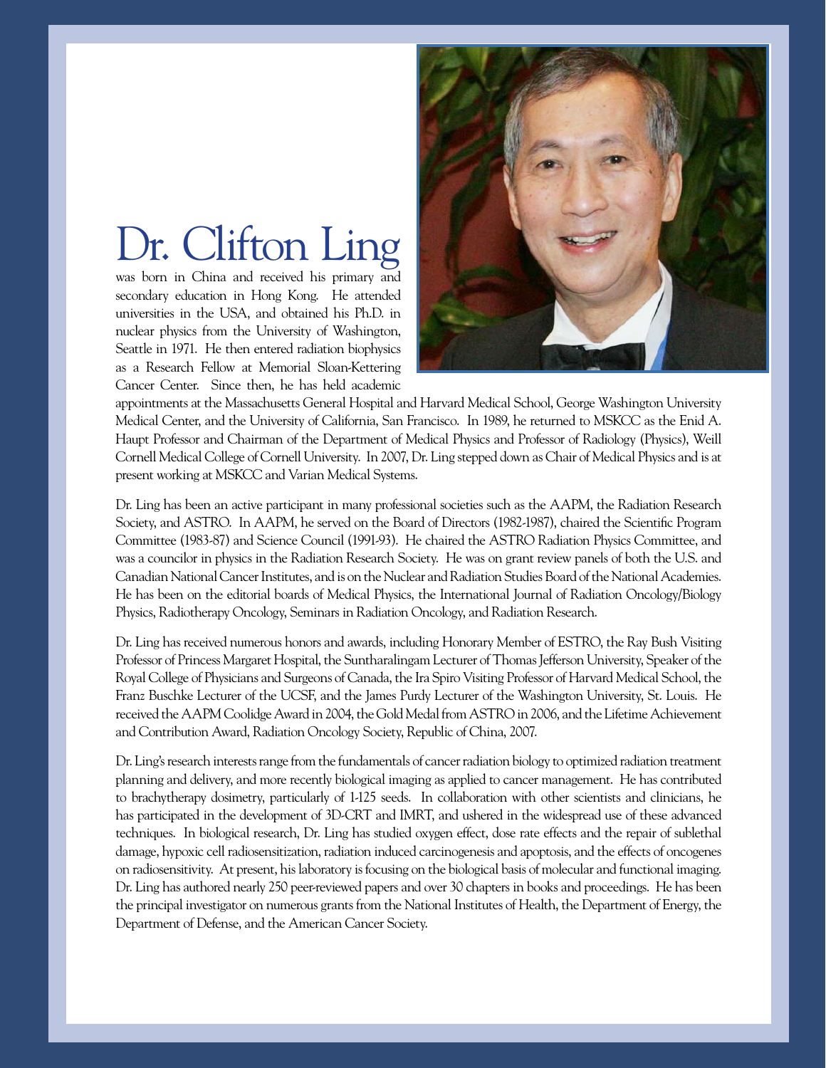# Dr. Clifton Ling

was born in China and received his primary and secondary education in Hong Kong. He attended universities in the USA, and obtained his Ph.D. in nuclear physics from the University of Washington, Seattle in 1971. He then entered radiation biophysics as a Research Fellow at Memorial Sloan-Kettering Cancer Center. Since then, he has held academic



appointments at the Massachusetts General Hospital and Harvard Medical School, George Washington University Medical Center, and the University of California, San Francisco. In 1989, he returned to MSKCC as the Enid A. Haupt Professor and Chairman of the Department of Medical Physics and Professor of Radiology (Physics), Weill Cornell Medical College of Cornell University. In 2007, Dr. Ling stepped down as Chair of Medical Physics and is at present working at MSKCC and Varian Medical Systems.

Dr. Ling has been an active participant in many professional societies such as the AAPM, the Radiation Research Society, and ASTRO. In AAPM, he served on the Board of Directors (1982-1987), chaired the Scientific Program Committee (1983-87) and Science Council (1991-93). He chaired the ASTRO Radiation Physics Committee, and was a councilor in physics in the Radiation Research Society. He was on grant review panels of both the U.S. and Canadian National Cancer Institutes, and is on the Nuclear and Radiation Studies Board of the National Academies. He has been on the editorial boards of Medical Physics, the International Journal of Radiation Oncology/Biology Physics, Radiotherapy Oncology, Seminars in Radiation Oncology, and Radiation Research.

Dr. Ling has received numerous honors and awards, including Honorary Member of ESTRO, the Ray Bush Visiting Professor of Princess Margaret Hospital, the Suntharalingam Lecturer of Thomas Jefferson University, Speaker of the Royal College of Physicians and Surgeons of Canada, the Ira Spiro Visiting Professor of Harvard Medical School, the Franz Buschke Lecturer of the UCSF, and the James Purdy Lecturer of the Washington University, St. Louis. He received the AAPMCoolidge Award in 2004, the Gold Medal from ASTRO in 2006, and the Lifetime Achievement and Contribution Award, Radiation Oncology Society, Republic of China, 2007.

Dr. Ling's research interests range from the fundamentals of cancer radiation biology to optimized radiation treatment planning and delivery, and more recently biological imaging as applied to cancer management. He has contributed to brachytherapy dosimetry, particularly of 1-125 seeds. In collaboration with other scientists and clinicians, he has participated in the development of 3D-CRT and IMRT, and ushered in the widespread use of these advanced techniques. In biological research, Dr. Ling has studied oxygen effect, dose rate effects and the repair of sublethal damage, hypoxic cell radiosensitization, radiation induced carcinogenesis and apoptosis, and the effects of oncogenes on radiosensitivity. At present, his laboratory is focusing on the biological basis of molecular and functional imaging. Dr. Ling has authored nearly 250 peer-reviewed papers and over 30 chapters in books and proceedings. He has been the principal investigator on numerous grants from the National Institutes of Health, the Department of Energy, the Department of Defense, and the American Cancer Society.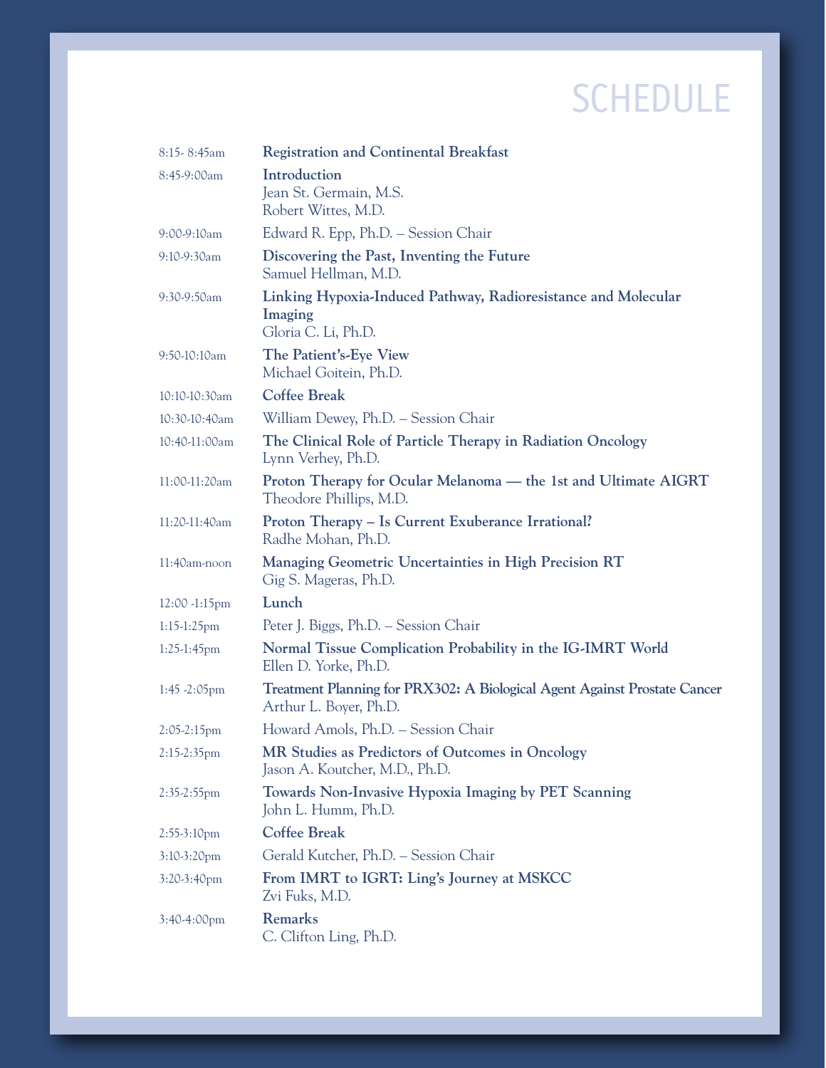## schedule

| $8:15-8:45am$     | <b>Registration and Continental Breakfast</b>                                                       |  |
|-------------------|-----------------------------------------------------------------------------------------------------|--|
| 8:45-9:00am       | Introduction<br>Jean St. Germain, M.S.<br>Robert Wittes, M.D.                                       |  |
| $9:00-9:10am$     | Edward R. Epp, Ph.D. – Session Chair                                                                |  |
| 9:10-9:30am       | Discovering the Past, Inventing the Future<br>Samuel Hellman, M.D.                                  |  |
| 9:30-9:50am       | Linking Hypoxia-Induced Pathway, Radioresistance and Molecular<br>Imaging<br>Gloria C. Li, Ph.D.    |  |
| 9:50-10:10am      | The Patient's-Eye View<br>Michael Goitein, Ph.D.                                                    |  |
| 10:10-10:30am     | <b>Coffee Break</b>                                                                                 |  |
| 10:30-10:40am     | William Dewey, Ph.D. - Session Chair                                                                |  |
| 10:40-11:00am     | The Clinical Role of Particle Therapy in Radiation Oncology<br>Lynn Verhey, Ph.D.                   |  |
| 11:00-11:20am     | Proton Therapy for Ocular Melanoma — the 1st and Ultimate AIGRT<br>Theodore Phillips, M.D.          |  |
| 11:20-11:40am     | Proton Therapy - Is Current Exuberance Irrational?<br>Radhe Mohan, Ph.D.                            |  |
| 11:40am-noon      | Managing Geometric Uncertainties in High Precision RT<br>Gig S. Mageras, Ph.D.                      |  |
| $12:00 - 1:15$ pm | Lunch                                                                                               |  |
| $1:15-1:25$ pm    | Peter J. Biggs, Ph.D. – Session Chair                                                               |  |
| 1:25-1:45pm       | Normal Tissue Complication Probability in the IG-IMRT World<br>Ellen D. Yorke, Ph.D.                |  |
| $1:45 - 2:05$ pm  | Treatment Planning for PRX302: A Biological Agent Against Prostate Cancer<br>Arthur L. Boyer, Ph.D. |  |
| $2:05-2:15$ pm    | Howard Amols, Ph.D. – Session Chair                                                                 |  |
| 2:15-2:35pm       | MR Studies as Predictors of Outcomes in Oncology<br>Jason A. Koutcher, M.D., Ph.D.                  |  |
| 2:35-2:55pm       | Towards Non-Invasive Hypoxia Imaging by PET Scanning<br>John L. Humm, Ph.D.                         |  |
| 2:55-3:10pm       | <b>Coffee Break</b>                                                                                 |  |
| 3:10-3:20pm       | Gerald Kutcher, Ph.D. - Session Chair                                                               |  |
| 3:20-3:40pm       | From IMRT to IGRT: Ling's Journey at MSKCC<br>Zvi Fuks, M.D.                                        |  |
| 3:40-4:00pm       | <b>Remarks</b><br>C. Clifton Ling, Ph.D.                                                            |  |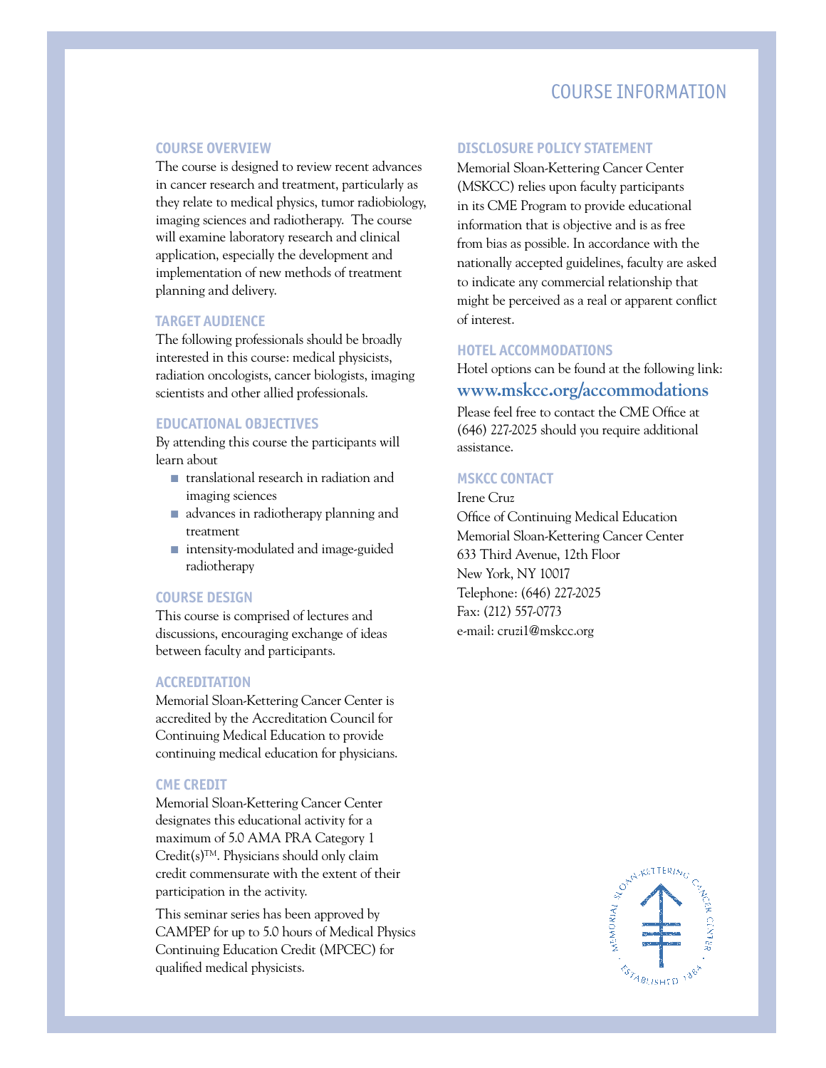### COURSE INFORMATION

#### **Course Overview**

The course is designed to review recent advances in cancer research and treatment, particularly as they relate to medical physics, tumor radiobiology, imaging sciences and radiotherapy. The course will examine laboratory research and clinical application, especially the development and implementation of new methods of treatment planning and delivery.

#### **Target Audience**

The following professionals should be broadly interested in this course: medical physicists, radiation oncologists, cancer biologists, imaging scientists and other allied professionals.

#### **Educational Objectives**

By attending this course the participants will learn about

- translational research in radiation and imaging sciences
- advances in radiotherapy planning and treatment
- intensity-modulated and image-guided radiotherapy

#### **Course Design**

This course is comprised of lectures and discussions, encouraging exchange of ideas between faculty and participants.

#### **Accreditation**

Memorial Sloan-Kettering Cancer Center is accredited by the Accreditation Council for Continuing Medical Education to provide continuing medical education for physicians.

#### **CME CREDIT**

Memorial Sloan-Kettering Cancer Center designates this educational activity for a maximum of 5.0 AMA PRA Category 1  $Credit(s)^{TM}$ . Physicians should only claim credit commensurate with the extent of their participation in the activity.

This seminar series has been approved by CAMPEP for up to 5.0 hours of Medical Physics Continuing Education Credit (MPCEC) for qualified medical physicists.

#### **Disclosure Policy Statement**

Memorial Sloan-Kettering Cancer Center (MSKCC) relies upon faculty participants in its CME Program to provide educational information that is objective and is as free from bias as possible. In accordance with the nationally accepted guidelines, faculty are asked to indicate any commercial relationship that might be perceived as a real or apparent conflict of interest.

#### **Hotel Accommodations**

Hotel options can be found at the following link: **www.mskcc.org/accommodations**

Please feel free to contact the CME Office at (646) 227-2025 should you require additional assistance.

#### **MSKCC Contact**

Irene Cruz Office of Continuing Medical Education Memorial Sloan-Kettering Cancer Center 633 Third Avenue, 12th Floor New York, NY 10017 Telephone: (646) 227-2025 Fax: (212) 557-0773 e-mail: cruzi1@mskcc.org